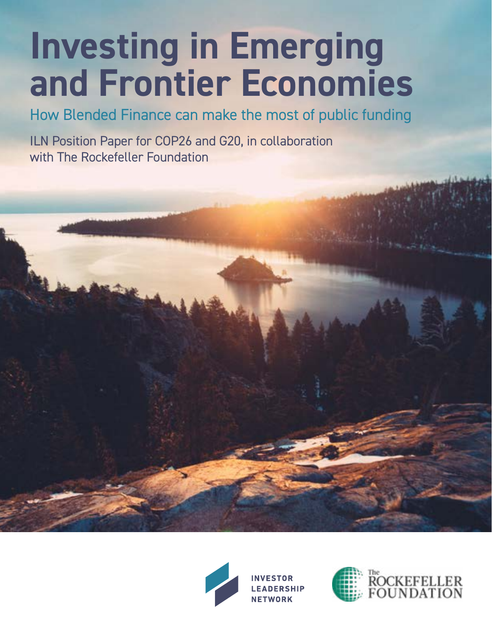# **Investing in Emerging and Frontier Economies**

How Blended Finance can make the most of public funding

ILN Position Paper for COP26 and G20, in collaboration with The Rockefeller Foundation



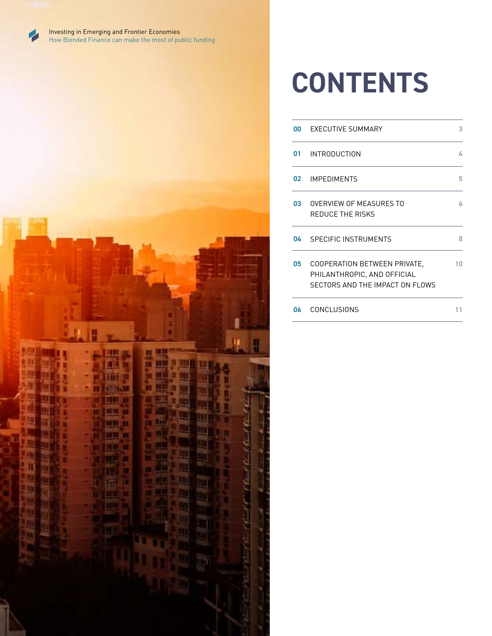

Investing in Emerging and Frontier Economies How Blended Finance can make the most of public funding



### **CONTENTS**

| 00   | <b>EXECUTIVE SUMMARY</b>                                                                              | 3  |
|------|-------------------------------------------------------------------------------------------------------|----|
|      | 01 INTRODUCTION                                                                                       | 4  |
|      | 02 IMPEDIMENTS                                                                                        | 5  |
| 03 - | OVERVIEW OF MEASURES TO<br><b>REDUCE THE RISKS</b>                                                    | 6  |
|      | 04 SPECIFIC INSTRUMENTS                                                                               | 8  |
| 05   | <b>COOPERATION BETWEEN PRIVATE.</b><br>PHILANTHROPIC, AND OFFICIAL<br>SECTORS AND THE IMPACT ON FLOWS | 10 |
| 06   | <b>CONCLUSIONS</b>                                                                                    |    |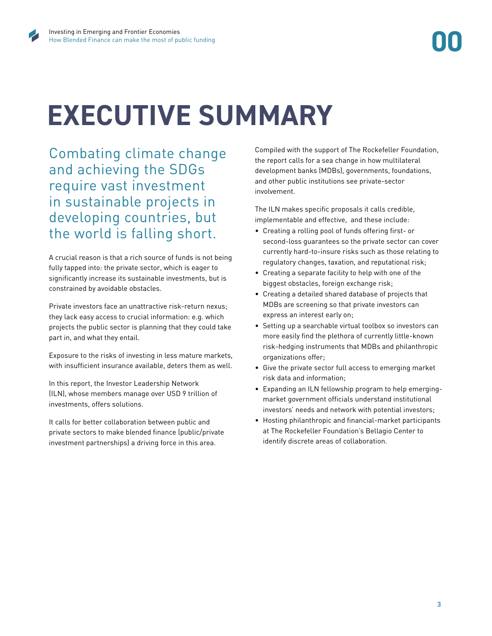## **EXECUTIVE SUMMARY**

Combating climate change and achieving the SDGs require vast investment in sustainable projects in developing countries, but the world is falling short.

A crucial reason is that a rich source of funds is not being fully tapped into: the private sector, which is eager to significantly increase its sustainable investments, but is constrained by avoidable obstacles.

Private investors face an unattractive risk-return nexus; they lack easy access to crucial information: e.g. which projects the public sector is planning that they could take part in, and what they entail.

Exposure to the risks of investing in less mature markets, with insufficient insurance available, deters them as well.

In this report, the Investor Leadership Network (ILN), whose members manage over USD 9 trillion of investments, offers solutions.

It calls for better collaboration between public and private sectors to make blended finance (public/private investment partnerships) a driving force in this area.

Compiled with the support of The Rockefeller Foundation, the report calls for a sea change in how multilateral development banks (MDBs), governments, foundations, and other public institutions see private-sector involvement.

The ILN makes specific proposals it calls credible, implementable and effective, and these include:

- Creating a rolling pool of funds offering first- or second-loss guarantees so the private sector can cover currently hard-to-insure risks such as those relating to regulatory changes, taxation, and reputational risk;
- Creating a separate facility to help with one of the biggest obstacles, foreign exchange risk;
- Creating a detailed shared database of projects that MDBs are screening so that private investors can express an interest early on;
- Setting up a searchable virtual toolbox so investors can more easily find the plethora of currently little-known risk-hedging instruments that MDBs and philanthropic organizations offer;
- Give the private sector full access to emerging market risk data and information;
- Expanding an ILN fellowship program to help emergingmarket government officials understand institutional investors' needs and network with potential investors;
- Hosting philanthropic and financial-market participants at The Rockefeller Foundation's Bellagio Center to identify discrete areas of collaboration.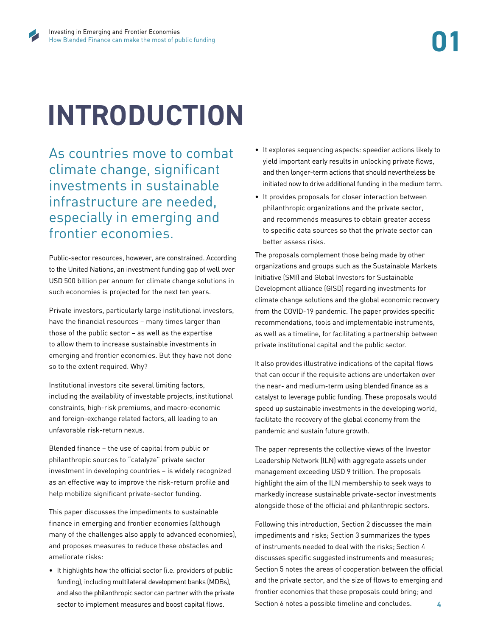## **INTRODUCTION**

As countries move to combat climate change, significant investments in sustainable infrastructure are needed, especially in emerging and frontier economies.

Public-sector resources, however, are constrained. According to the United Nations, an investment funding gap of well over USD 500 billion per annum for climate change solutions in such economies is projected for the next ten years.

Private investors, particularly large institutional investors, have the financial resources – many times larger than those of the public sector – as well as the expertise to allow them to increase sustainable investments in emerging and frontier economies. But they have not done so to the extent required. Why?

Institutional investors cite several limiting factors, including the availability of investable projects, institutional constraints, high-risk premiums, and macro-economic and foreign-exchange related factors, all leading to an unfavorable risk-return nexus.

Blended finance – the use of capital from public or philanthropic sources to "catalyze" private sector investment in developing countries – is widely recognized as an effective way to improve the risk-return profile and help mobilize significant private-sector funding.

This paper discusses the impediments to sustainable finance in emerging and frontier economies (although many of the challenges also apply to advanced economies), and proposes measures to reduce these obstacles and ameliorate risks:

• It highlights how the official sector (i.e. providers of public funding), including multilateral development banks (MDBs), and also the philanthropic sector can partner with the private sector to implement measures and boost capital flows.

- It explores sequencing aspects: speedier actions likely to yield important early results in unlocking private flows, and then longer-term actions that should nevertheless be initiated now to drive additional funding in the medium term.
- It provides proposals for closer interaction between philanthropic organizations and the private sector, and recommends measures to obtain greater access to specific data sources so that the private sector can better assess risks.

The proposals complement those being made by other organizations and groups such as the Sustainable Markets Initiative (SMI) and Global Investors for Sustainable Development alliance (GISD) regarding investments for climate change solutions and the global economic recovery from the COVID-19 pandemic. The paper provides specific recommendations, tools and implementable instruments, as well as a timeline, for facilitating a partnership between private institutional capital and the public sector.

It also provides illustrative indications of the capital flows that can occur if the requisite actions are undertaken over the near- and medium-term using blended finance as a catalyst to leverage public funding. These proposals would speed up sustainable investments in the developing world, facilitate the recovery of the global economy from the pandemic and sustain future growth.

The paper represents the collective views of the Investor Leadership Network (ILN) with aggregate assets under management exceeding USD 9 trillion. The proposals highlight the aim of the ILN membership to seek ways to markedly increase sustainable private-sector investments alongside those of the official and philanthropic sectors.

**4** Following this introduction, Section 2 discusses the main impediments and risks; Section 3 summarizes the types of instruments needed to deal with the risks; Section 4 discusses specific suggested instruments and measures; Section 5 notes the areas of cooperation between the official and the private sector, and the size of flows to emerging and frontier economies that these proposals could bring; and Section 6 notes a possible timeline and concludes.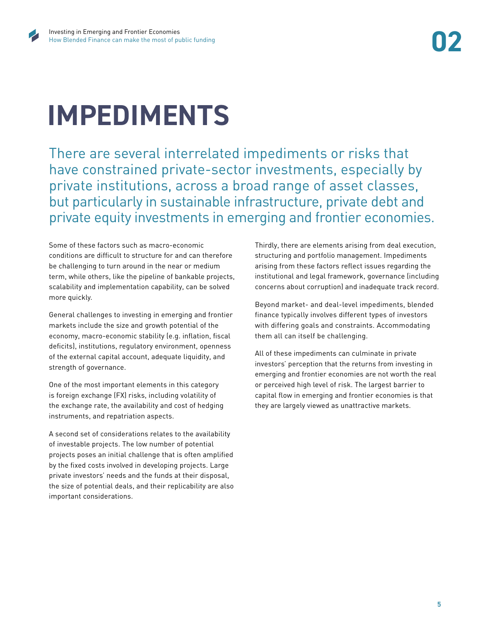# **IMPEDIMENTS**

There are several interrelated impediments or risks that have constrained private-sector investments, especially by private institutions, across a broad range of asset classes, but particularly in sustainable infrastructure, private debt and private equity investments in emerging and frontier economies.

Some of these factors such as macro-economic conditions are difficult to structure for and can therefore be challenging to turn around in the near or medium term, while others, like the pipeline of bankable projects, scalability and implementation capability, can be solved more quickly.

General challenges to investing in emerging and frontier markets include the size and growth potential of the economy, macro-economic stability (e.g. inflation, fiscal deficits), institutions, regulatory environment, openness of the external capital account, adequate liquidity, and strength of governance.

One of the most important elements in this category is foreign exchange (FX) risks, including volatility of the exchange rate, the availability and cost of hedging instruments, and repatriation aspects.

A second set of considerations relates to the availability of investable projects. The low number of potential projects poses an initial challenge that is often amplified by the fixed costs involved in developing projects. Large private investors' needs and the funds at their disposal, the size of potential deals, and their replicability are also important considerations.

Thirdly, there are elements arising from deal execution, structuring and portfolio management. Impediments arising from these factors reflect issues regarding the institutional and legal framework, governance (including concerns about corruption) and inadequate track record.

Beyond market- and deal-level impediments, blended finance typically involves different types of investors with differing goals and constraints. Accommodating them all can itself be challenging.

All of these impediments can culminate in private investors' perception that the returns from investing in emerging and frontier economies are not worth the real or perceived high level of risk. The largest barrier to capital flow in emerging and frontier economies is that they are largely viewed as unattractive markets.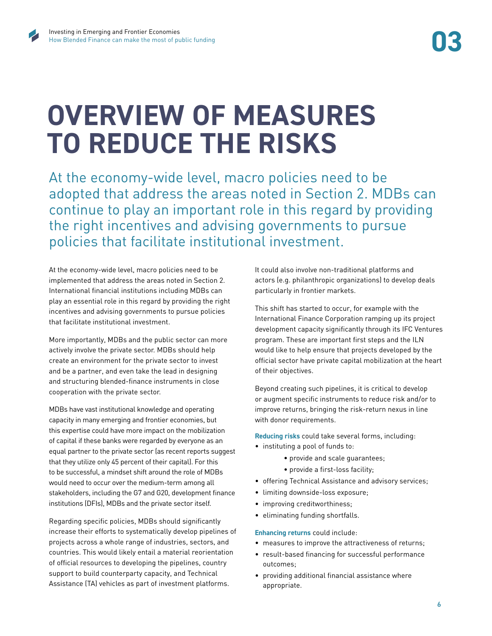### **OVERVIEW OF MEASURES TO REDUCE THE RISKS**

At the economy-wide level, macro policies need to be adopted that address the areas noted in Section 2. MDBs can continue to play an important role in this regard by providing the right incentives and advising governments to pursue policies that facilitate institutional investment.

At the economy-wide level, macro policies need to be implemented that address the areas noted in Section 2. International financial institutions including MDBs can play an essential role in this regard by providing the right incentives and advising governments to pursue policies that facilitate institutional investment.

More importantly, MDBs and the public sector can more actively involve the private sector. MDBs should help create an environment for the private sector to invest and be a partner, and even take the lead in designing and structuring blended-finance instruments in close cooperation with the private sector.

MDBs have vast institutional knowledge and operating capacity in many emerging and frontier economies, but this expertise could have more impact on the mobilization of capital if these banks were regarded by everyone as an equal partner to the private sector (as recent reports suggest that they utilize only 45 percent of their capital). For this to be successful, a mindset shift around the role of MDBs would need to occur over the medium-term among all stakeholders, including the G7 and G20, development finance institutions (DFIs), MDBs and the private sector itself.

Regarding specific policies, MDBs should significantly increase their efforts to systematically develop pipelines of projects across a whole range of industries, sectors, and countries. This would likely entail a material reorientation of official resources to developing the pipelines, country support to build counterparty capacity, and Technical Assistance (TA) vehicles as part of investment platforms.

It could also involve non-traditional platforms and actors (e.g. philanthropic organizations) to develop deals particularly in frontier markets.

This shift has started to occur, for example with the International Finance Corporation ramping up its project development capacity significantly through its IFC Ventures program. These are important first steps and the ILN would like to help ensure that projects developed by the official sector have private capital mobilization at the heart of their objectives.

Beyond creating such pipelines, it is critical to develop or augment specific instruments to reduce risk and/or to improve returns, bringing the risk-return nexus in line with donor requirements.

**Reducing risks** could take several forms, including:

- instituting a pool of funds to:
	- provide and scale guarantees;
	- provide a first-loss facility;
- offering Technical Assistance and advisory services;
- limiting downside-loss exposure;
- improving creditworthiness;
- eliminating funding shortfalls.

#### **Enhancing returns** could include:

- measures to improve the attractiveness of returns;
- result-based financing for successful performance outcomes;
- providing additional financial assistance where appropriate.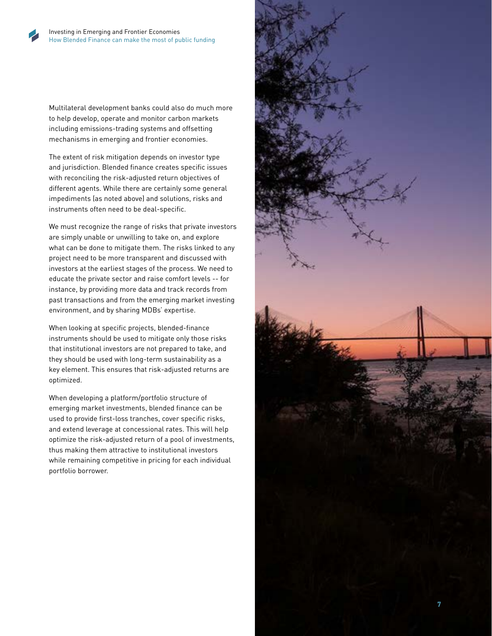

Multilateral development banks could also do much more to help develop, operate and monitor carbon markets including emissions-trading systems and offsetting mechanisms in emerging and frontier economies.

The extent of risk mitigation depends on investor type and jurisdiction. Blended finance creates specific issues with reconciling the risk-adjusted return objectives of different agents. While there are certainly some general impediments (as noted above) and solutions, risks and instruments often need to be deal-specific.

We must recognize the range of risks that private investors are simply unable or unwilling to take on, and explore what can be done to mitigate them. The risks linked to any project need to be more transparent and discussed with investors at the earliest stages of the process. We need to educate the private sector and raise comfort levels -- for instance, by providing more data and track records from past transactions and from the emerging market investing environment, and by sharing MDBs' expertise.

When looking at specific projects, blended-finance instruments should be used to mitigate only those risks that institutional investors are not prepared to take, and they should be used with long-term sustainability as a key element. This ensures that risk-adjusted returns are optimized.

When developing a platform/portfolio structure of emerging market investments, blended finance can be used to provide first-loss tranches, cover specific risks, and extend leverage at concessional rates. This will help optimize the risk-adjusted return of a pool of investments, thus making them attractive to institutional investors while remaining competitive in pricing for each individual portfolio borrower.

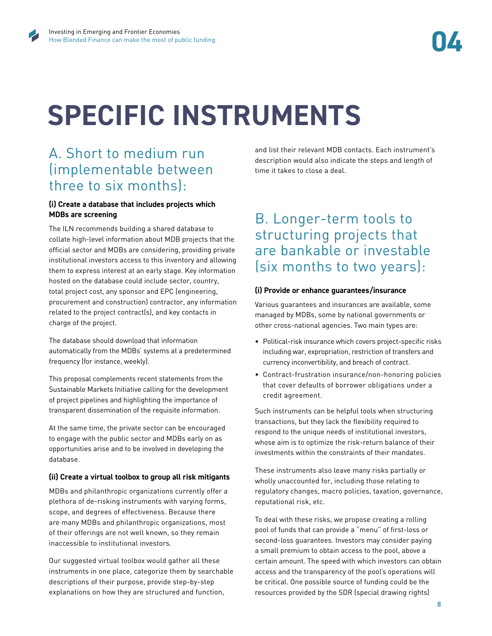# **SPECIFIC INSTRUMENTS**

### A. Short to medium run (implementable between three to six months):

#### **(i) Create a database that includes projects which MDBs are screening**

The ILN recommends building a shared database to collate high-level information about MDB projects that the official sector and MDBs are considering, providing private institutional investors access to this inventory and allowing them to express interest at an early stage. Key information hosted on the database could include sector, country, total project cost, any sponsor and EPC (engineering, procurement and construction) contractor, any information related to the project contract(s), and key contacts in charge of the project.

The database should download that information automatically from the MDBs' systems at a predetermined frequency (for instance, weekly).

This proposal complements recent statements from the Sustainable Markets Initiative calling for the development of project pipelines and highlighting the importance of transparent dissemination of the requisite information.

At the same time, the private sector can be encouraged to engage with the public sector and MDBs early on as opportunities arise and to be involved in developing the database.

#### **(ii) Create a virtual toolbox to group all risk mitigants**

MDBs and philanthropic organizations currently offer a plethora of de-risking instruments with varying forms, scope, and degrees of effectiveness. Because there are many MDBs and philanthropic organizations, most of their offerings are not well known, so they remain inaccessible to institutional investors.

Our suggested virtual toolbox would gather all these instruments in one place, categorize them by searchable descriptions of their purpose, provide step-by-step explanations on how they are structured and function,

and list their relevant MDB contacts. Each instrument's description would also indicate the steps and length of time it takes to close a deal.

### B. Longer-term tools to structuring projects that are bankable or investable (six months to two years):

#### **(i) Provide or enhance guarantees/insurance**

Various guarantees and insurances are available, some managed by MDBs, some by national governments or other cross-national agencies. Two main types are:

- Political-risk insurance which covers project-specific risks including war, expropriation, restriction of transfers and currency inconvertibility, and breach of contract.
- Contract-frustration insurance/non-honoring policies that cover defaults of borrower obligations under a credit agreement.

Such instruments can be helpful tools when structuring transactions, but they lack the flexibility required to respond to the unique needs of institutional investors, whose aim is to optimize the risk-return balance of their investments within the constraints of their mandates.

These instruments also leave many risks partially or wholly unaccounted for, including those relating to regulatory changes, macro policies, taxation, governance, reputational risk, etc.

To deal with these risks, we propose creating a rolling pool of funds that can provide a "menu" of first-loss or second-loss guarantees. Investors may consider paying a small premium to obtain access to the pool, above a certain amount. The speed with which investors can obtain access and the transparency of the pool's operations will be critical. One possible source of funding could be the resources provided by the SDR (special drawing rights)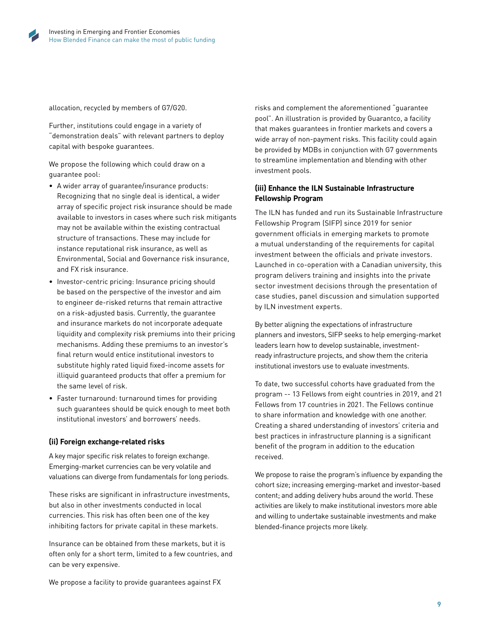

allocation, recycled by members of G7/G20.

Further, institutions could engage in a variety of "demonstration deals" with relevant partners to deploy capital with bespoke guarantees.

We propose the following which could draw on a guarantee pool:

- A wider array of guarantee/insurance products: Recognizing that no single deal is identical, a wider array of specific project risk insurance should be made available to investors in cases where such risk mitigants may not be available within the existing contractual structure of transactions. These may include for instance reputational risk insurance, as well as Environmental, Social and Governance risk insurance, and FX risk insurance.
- Investor-centric pricing: Insurance pricing should be based on the perspective of the investor and aim to engineer de-risked returns that remain attractive on a risk-adjusted basis. Currently, the guarantee and insurance markets do not incorporate adequate liquidity and complexity risk premiums into their pricing mechanisms. Adding these premiums to an investor's final return would entice institutional investors to substitute highly rated liquid fixed-income assets for illiquid guaranteed products that offer a premium for the same level of risk.
- Faster turnaround: turnaround times for providing such guarantees should be quick enough to meet both institutional investors' and borrowers' needs.

#### **(ii) Foreign exchange-related risks**

A key major specific risk relates to foreign exchange. Emerging-market currencies can be very volatile and valuations can diverge from fundamentals for long periods.

These risks are significant in infrastructure investments, but also in other investments conducted in local currencies. This risk has often been one of the key inhibiting factors for private capital in these markets.

Insurance can be obtained from these markets, but it is often only for a short term, limited to a few countries, and can be very expensive.

risks and complement the aforementioned "guarantee pool". An illustration is provided by Guarantco, a facility that makes guarantees in frontier markets and covers a wide array of non-payment risks. This facility could again be provided by MDBs in conjunction with G7 governments to streamline implementation and blending with other investment pools.

#### **(iii) Enhance the ILN Sustainable Infrastructure Fellowship Program**

The ILN has funded and run its Sustainable Infrastructure Fellowship Program (SIFP) since 2019 for senior government officials in emerging markets to promote a mutual understanding of the requirements for capital investment between the officials and private investors. Launched in co-operation with a Canadian university, this program delivers training and insights into the private sector investment decisions through the presentation of case studies, panel discussion and simulation supported by ILN investment experts.

By better aligning the expectations of infrastructure planners and investors, SIFP seeks to help emerging-market leaders learn how to develop sustainable, investmentready infrastructure projects, and show them the criteria institutional investors use to evaluate investments.

To date, two successful cohorts have graduated from the program -- 13 Fellows from eight countries in 2019, and 21 Fellows from 17 countries in 2021. The Fellows continue to share information and knowledge with one another. Creating a shared understanding of investors' criteria and best practices in infrastructure planning is a significant benefit of the program in addition to the education received.

We propose to raise the program's influence by expanding the cohort size; increasing emerging-market and investor-based content; and adding delivery hubs around the world. These activities are likely to make institutional investors more able and willing to undertake sustainable investments and make blended-finance projects more likely.

We propose a facility to provide guarantees against FX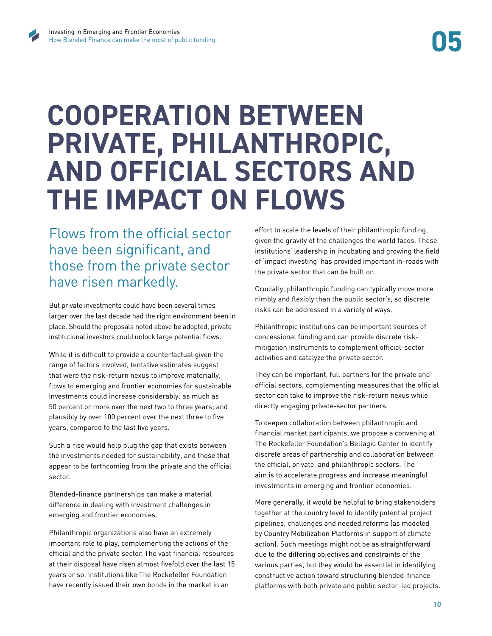### **COOPERATION BETWEEN PRIVATE, PHILANTHROPIC, AND OFFICIAL SECTORS AND THE IMPACT ON FLOWS**

Flows from the official sector have been significant, and those from the private sector have risen markedly.

But private investments could have been several times larger over the last decade had the right environment been in place. Should the proposals noted above be adopted, private institutional investors could unlock large potential flows.

While it is difficult to provide a counterfactual given the range of factors involved, tentative estimates suggest that were the risk-return nexus to improve materially, flows to emerging and frontier economies for sustainable investments could increase considerably: as much as 50 percent or more over the next two to three years; and plausibly by over 100 percent over the next three to five years, compared to the last five years.

Such a rise would help plug the gap that exists between the investments needed for sustainability, and those that appear to be forthcoming from the private and the official sector.

Blended-finance partnerships can make a material difference in dealing with investment challenges in emerging and frontier economies.

Philanthropic organizations also have an extremely important role to play, complementing the actions of the official and the private sector. The vast financial resources at their disposal have risen almost fivefold over the last 15 years or so. Institutions like The Rockefeller Foundation have recently issued their own bonds in the market in an

effort to scale the levels of their philanthropic funding, given the gravity of the challenges the world faces. These institutions' leadership in incubating and growing the field of 'impact investing' has provided important in-roads with the private sector that can be built on.

Crucially, philanthropic funding can typically move more nimbly and flexibly than the public sector's, so discrete risks can be addressed in a variety of ways.

Philanthropic institutions can be important sources of concessional funding and can provide discrete riskmitigation instruments to complement official-sector activities and catalyze the private sector.

They can be important, full partners for the private and official sectors, complementing measures that the official sector can take to improve the risk-return nexus while directly engaging private-sector partners.

To deepen collaboration between philanthropic and financial market participants, we propose a convening at The Rockefeller Foundation's Bellagio Center to identify discrete areas of partnership and collaboration between the official, private, and philanthropic sectors. The aim is to accelerate progress and increase meaningful investments in emerging and frontier economies.

More generally, it would be helpful to bring stakeholders together at the country level to identify potential project pipelines, challenges and needed reforms (as modeled by Country Mobilization Platforms in support of climate action). Such meetings might not be as straightforward due to the differing objectives and constraints of the various parties, but they would be essential in identifying constructive action toward structuring blended-finance platforms with both private and public sector-led projects.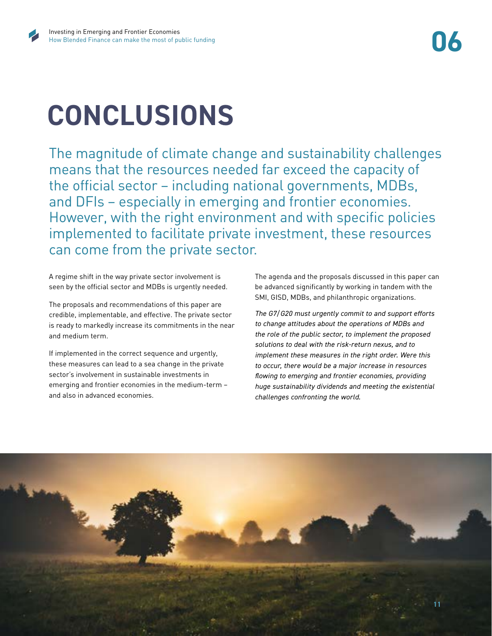# **CONCLUSIONS**

The magnitude of climate change and sustainability challenges means that the resources needed far exceed the capacity of the official sector – including national governments, MDBs, and DFIs – especially in emerging and frontier economies. However, with the right environment and with specific policies implemented to facilitate private investment, these resources can come from the private sector.

A regime shift in the way private sector involvement is seen by the official sector and MDBs is urgently needed.

The proposals and recommendations of this paper are credible, implementable, and effective. The private sector is ready to markedly increase its commitments in the near and medium term.

If implemented in the correct sequence and urgently, these measures can lead to a sea change in the private sector's involvement in sustainable investments in emerging and frontier economies in the medium-term – and also in advanced economies.

The agenda and the proposals discussed in this paper can be advanced significantly by working in tandem with the SMI, GISD, MDBs, and philanthropic organizations.

*The G7/G20 must urgently commit to and support efforts to change attitudes about the operations of MDBs and the role of the public sector, to implement the proposed solutions to deal with the risk-return nexus, and to implement these measures in the right order. Were this to occur, there would be a major increase in resources flowing to emerging and frontier economies, providing huge sustainability dividends and meeting the existential challenges confronting the world.* 

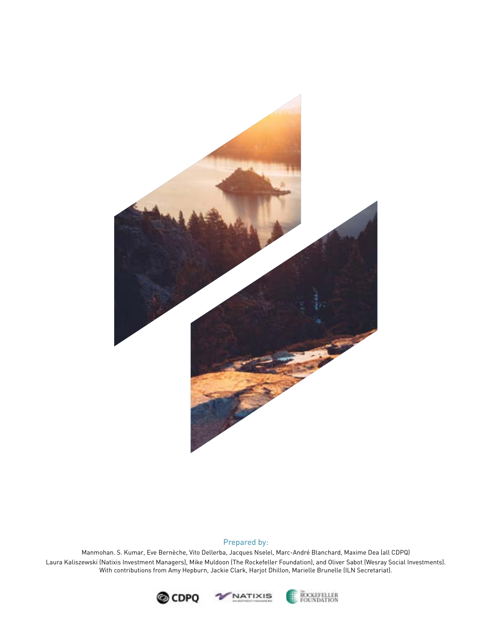

#### Prepared by:

Manmohan. S. Kumar, Eve Bernèche, Vito Dellerba, Jacques Nselel, Marc-André Blanchard, Maxime Dea (all CDPQ) Laura Kaliszewski (Natixis Investment Managers), Mike Muldoon (The Rockefeller Foundation), and Oliver Sabot (Wesray Social Investments). With contributions from Amy Hepburn, Jackie Clark, Harjot Dhillon, Marielle Brunelle (ILN Secretariat).